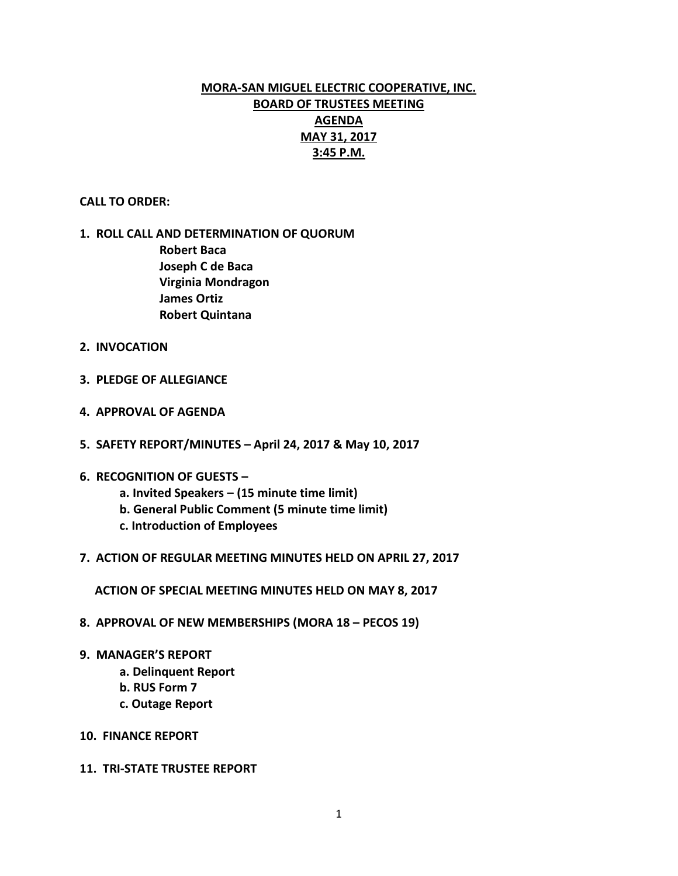# **MORA-SAN MIGUEL ELECTRIC COOPERATIVE, INC. BOARD OF TRUSTEES MEETING AGENDA MAY 31, 2017 3:45 P.M.**

### **CALL TO ORDER:**

# **1. ROLL CALL AND DETERMINATION OF QUORUM Robert Baca Joseph C de Baca Virginia Mondragon James Ortiz Robert Quintana**

- **2. INVOCATION**
- **3. PLEDGE OF ALLEGIANCE**
- **4. APPROVAL OF AGENDA**
- **5. SAFETY REPORT/MINUTES – April 24, 2017 & May 10, 2017**
- **6. RECOGNITION OF GUESTS –**
	- **a. Invited Speakers – (15 minute time limit)**
	- **b. General Public Comment (5 minute time limit)**
	- **c. Introduction of Employees**
- **7. ACTION OF REGULAR MEETING MINUTES HELD ON APRIL 27, 2017**

 **ACTION OF SPECIAL MEETING MINUTES HELD ON MAY 8, 2017**

- **8. APPROVAL OF NEW MEMBERSHIPS (MORA 18 – PECOS 19)**
- **9. MANAGER'S REPORT**
	- **a. Delinquent Report**
	- **b. RUS Form 7**
	- **c. Outage Report**
- **10. FINANCE REPORT**
- **11. TRI-STATE TRUSTEE REPORT**